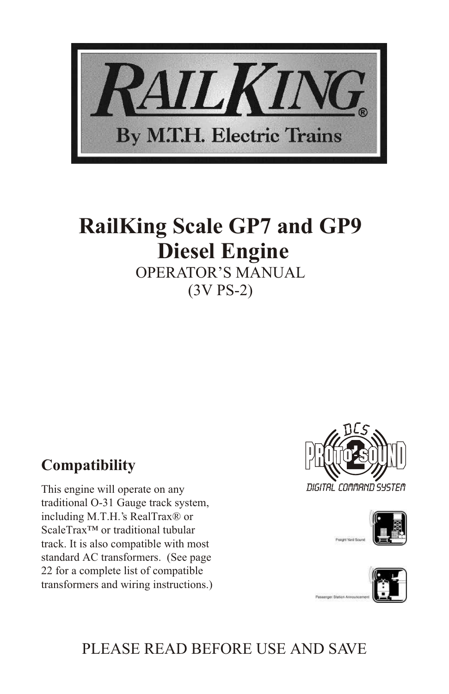

## **RailKing Scale GP7 and GP9 Diesel Engine** OPERATOR'S MANUAL

(3V PS-2)

## **Compatibility**

This engine will operate on any traditional O-31 Gauge track system, including M.T.H.'s RealTrax® or ScaleTrax™ or traditional tubular track. It is also compatible with most standard AC transformers. (See page 22 for a complete list of compatible transformers and wiring instructions.)







## PLEASE READ BEFORE USE AND SAVE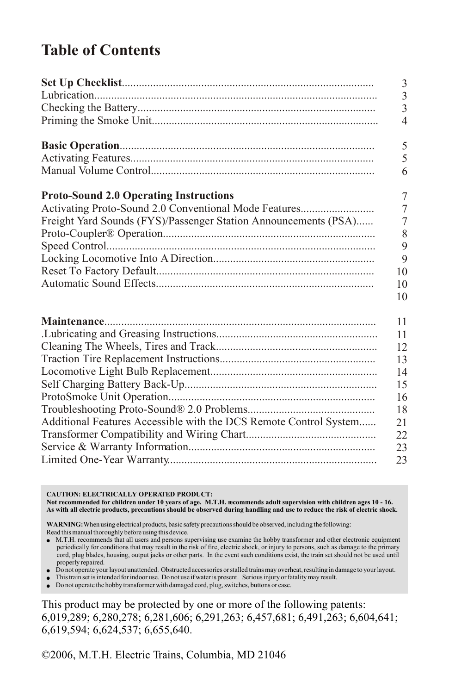## **Table of Contents**

|                                                                   | $\mathfrak{Z}$ |
|-------------------------------------------------------------------|----------------|
|                                                                   | $\overline{3}$ |
|                                                                   | $\overline{3}$ |
|                                                                   | $\overline{4}$ |
|                                                                   | 5              |
|                                                                   | 5              |
|                                                                   | 6              |
| <b>Proto-Sound 2.0 Operating Instructions</b>                     | 7              |
| Activating Proto-Sound 2.0 Conventional Mode Features             | $\overline{7}$ |
| Freight Yard Sounds (FYS)/Passenger Station Announcements (PSA)   | 7              |
|                                                                   | 8              |
|                                                                   | 9              |
|                                                                   | 9              |
|                                                                   | 10             |
|                                                                   | 10             |
|                                                                   | 10             |
|                                                                   | 11             |
|                                                                   | 11             |
|                                                                   | 12             |
|                                                                   | 13             |
|                                                                   | 14             |
|                                                                   | 15             |
|                                                                   | 16             |
|                                                                   | 18             |
| Additional Features Accessible with the DCS Remote Control System | 21             |
|                                                                   | 22             |
|                                                                   | 23             |
|                                                                   | 23             |

**CAUTION: ELECTRICALLY OPERATED PRODUCT: Not recommended for children under 10 years of age. M.T.H. recommends adult supervision with children ages 10 - 16. As with all electric products, precautions should be observed during handling and use to reduce the risk of electric shock.**

**WARNING:** When using electrical products, basic safety precautions should be observed, including the following: Read this manual thoroughly before using this device.

- M.T.H. recommends that all users and persons supervising use examine the hobby transformer and other electronic equipment periodically for conditions that may result in the risk of fire, electric shock, or injury to persons, such as damage to the primary cord, plug blades, housing, output jacks or other parts. In the event such conditions exist, the train set should not be used until properly repaired.
- Do not operate your layout unattended. Obstructed accessories or stalled trains may overheat, resulting in damage to your layout.
- This train set is intended for indoor use. Do not use if water is present. Serious injury or fatality may result.

● Do not operate the hobby transformer with damaged cord, plug, switches, buttons or case.

This product may be protected by one or more of the following patents: 6,019,289; 6,280,278; 6,281,606; 6,291,263; 6,457,681; 6,491,263; 6,604,641; 6,619,594; 6,624,537; 6,655,640.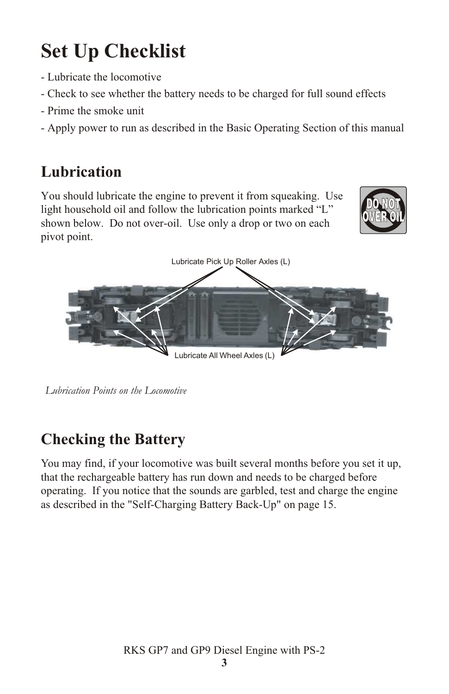# **Set Up Checklist**

- Lubricate the locomotive
- Check to see whether the battery needs to be charged for full sound effects
- Prime the smoke unit
- Apply power to run as described in the Basic Operating Section of this manual

## **Lubrication**

You should lubricate the engine to prevent it from squeaking. Use light household oil and follow the lubrication points marked "L" shown below. Do not over-oil. Use only a drop or two on each pivot point.





 *Lubrication Points on the Locomotive*

## **Checking the Battery**

You may find, if your locomotive was built several months before you set it up, that the rechargeable battery has run down and needs to be charged before operating. If you notice that the sounds are garbled, test and charge the engine as described in the "Self-Charging Battery Back-Up" on page 15.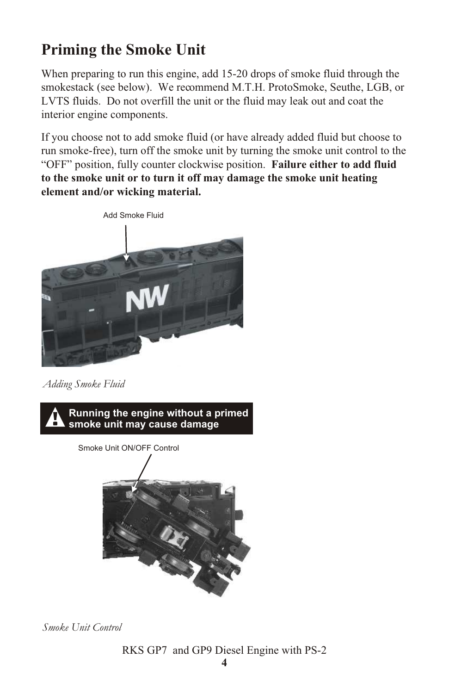## **Priming the Smoke Unit**

When preparing to run this engine, add 15-20 drops of smoke fluid through the smokestack (see below). We recommend M.T.H. ProtoSmoke, Seuthe, LGB, or LVTS fluids. Do not overfill the unit or the fluid may leak out and coat the interior engine components.

If you choose not to add smoke fluid (or have already added fluid but choose to run smoke-free), turn off the smoke unit by turning the smoke unit control to the "OFF" position, fully counter clockwise position. **Failure either to add fluid to the smoke unit or to turn it off may damage the smoke unit heating element and/or wicking material.**



*Adding Smoke Fluid*



*Smoke Unit Control*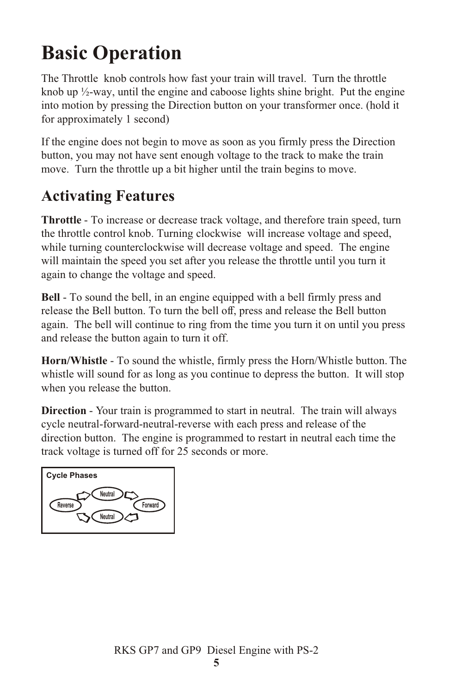# **Basic Operation**

The Throttle knob controls how fast your train will travel. Turn the throttle knob up  $\frac{1}{2}$ -way, until the engine and caboose lights shine bright. Put the engine into motion by pressing the Direction button on your transformer once. (hold it for approximately 1 second)

If the engine does not begin to move as soon as you firmly press the Direction button, you may not have sent enough voltage to the track to make the train move. Turn the throttle up a bit higher until the train begins to move.

## **Activating Features**

**Throttle** - To increase or decrease track voltage, and therefore train speed, turn the throttle control knob. Turning clockwise will increase voltage and speed, while turning counterclockwise will decrease voltage and speed. The engine will maintain the speed you set after you release the throttle until you turn it again to change the voltage and speed.

**Bell** - To sound the bell, in an engine equipped with a bell firmly press and release the Bell button. To turn the bell off, press and release the Bell button again. The bell will continue to ring from the time you turn it on until you press and release the button again to turn it off.

**Horn/Whistle** - To sound the whistle, firmly press the Horn/Whistle button. The whistle will sound for as long as you continue to depress the button. It will stop when you release the button.

**Direction** - Your train is programmed to start in neutral. The train will always cycle neutral-forward-neutral-reverse with each press and release of the direction button. The engine is programmed to restart in neutral each time the track voltage is turned off for 25 seconds or more.

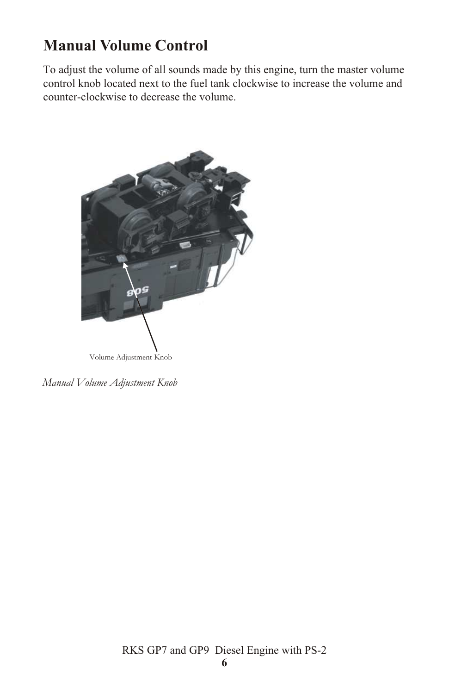## **Manual Volume Control**

To adjust the volume of all sounds made by this engine, turn the master volume control knob located next to the fuel tank clockwise to increase the volume and counter-clockwise to decrease the volume.



*Manual Volume Adjustment Knob*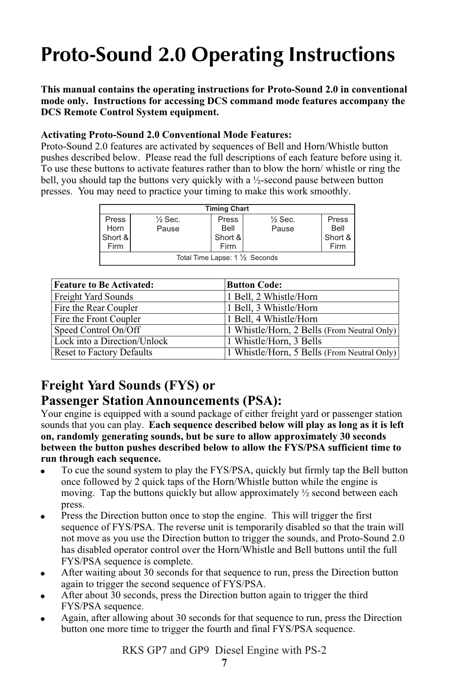# **Proto-Sound 2.0 Operating Instructions**

**This manual contains the operating instructions for Proto-Sound 2.0 in conventional mode only. Instructions for accessing DCS command mode features accompany the DCS Remote Control System equipment.**

#### **Activating Proto-Sound 2.0 Conventional Mode Features:**

Proto-Sound 2.0 features are activated by sequences of Bell and Horn/Whistle button pushes described below. Please read the full descriptions of each feature before using it. To use these buttons to activate features rather than to blow the horn/ whistle or ring the bell, you should tap the buttons very quickly with a  $\frac{1}{2}$ -second pause between button presses. You may need to practice your timing to make this work smoothly.

| <b>Timing Chart</b>             |                    |         |                    |         |
|---------------------------------|--------------------|---------|--------------------|---------|
| Press                           | $\frac{1}{2}$ Sec. | Press   | $\frac{1}{2}$ Sec. | Press   |
| Horn                            | Pause              | Bell    | Pause              | Bell    |
| Short &                         |                    | Short & |                    | Short & |
| Firm                            |                    | Firm    |                    | Firm    |
| Total Time Lapse: 1 1/2 Seconds |                    |         |                    |         |

| <b>Feature to Be Activated:</b>  | <b>Button Code:</b>                         |
|----------------------------------|---------------------------------------------|
| Freight Yard Sounds              | 1 Bell, 2 Whistle/Horn                      |
| Fire the Rear Coupler            | 1 Bell, 3 Whistle/Horn                      |
| Fire the Front Coupler           | 1 Bell, 4 Whistle/Horn                      |
| Speed Control On/Off             | 1 Whistle/Horn, 2 Bells (From Neutral Only) |
| Lock into a Direction/Unlock     | 1 Whistle/Horn, 3 Bells                     |
| <b>Reset to Factory Defaults</b> | 1 Whistle/Horn, 5 Bells (From Neutral Only) |

### **Freight Yard Sounds (FYS) or**

#### **Passenger Station Announcements (PSA):**

Your engine is equipped with a sound package of either freight yard or passenger station sounds that you can play. **Each sequence described below will play as long as it is left on, randomly generating sounds, but be sure to allow approximately 30 seconds between the button pushes described below to allow the FYS/PSA sufficient time to run through each sequence.**

- ! To cue the sound system to play the FYS/PSA, quickly but firmly tap the Bell button once followed by 2 quick taps of the Horn/Whistle button while the engine is moving. Tap the buttons quickly but allow approximately  $\frac{1}{2}$  second between each press.
- Press the Direction button once to stop the engine. This will trigger the first sequence of FYS/PSA. The reverse unit is temporarily disabled so that the train will not move as you use the Direction button to trigger the sounds, and Proto-Sound 2.0 has disabled operator control over the Horn/Whistle and Bell buttons until the full FYS/PSA sequence is complete.
- After waiting about 30 seconds for that sequence to run, press the Direction button again to trigger the second sequence of FYS/PSA.
- ! After about 30 seconds, press the Direction button again to trigger the third FYS/PSA sequence.
- ! Again, after allowing about 30 seconds for that sequence to run, press the Direction button one more time to trigger the fourth and final FYS/PSA sequence.

RKS GP7 and GP9 Diesel Engine with PS-2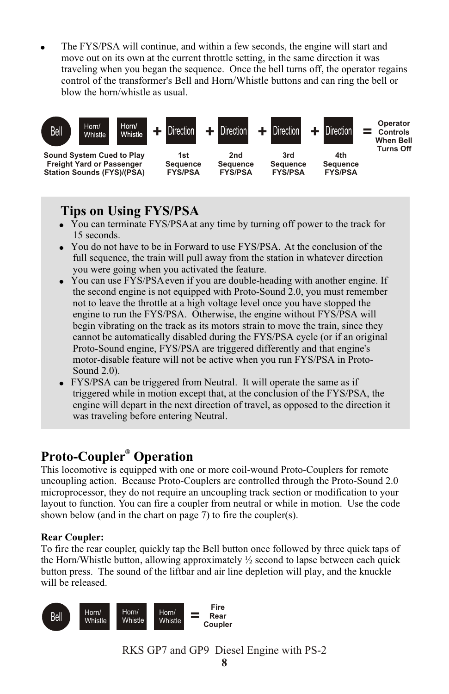! The FYS/PSA will continue, and within a few seconds, the engine will start and move out on its own at the current throttle setting, in the same direction it was traveling when you began the sequence. Once the bell turns off, the operator regains control of the transformer's Bell and Horn/Whistle buttons and can ring the bell or blow the horn/whistle as usual.



### **Tips on Using FYS/PSA**

- You can terminate FYS/PSA at any time by turning off power to the track for 15 seconds.
- You do not have to be in Forward to use FYS/PSA. At the conclusion of the full sequence, the train will pull away from the station in whatever direction you were going when you activated the feature.
- You can use FYS/PSA even if you are double-heading with another engine. If the second engine is not equipped with Proto-Sound 2.0, you must remember not to leave the throttle at a high voltage level once you have stopped the engine to run the FYS/PSA. Otherwise, the engine without FYS/PSA will begin vibrating on the track as its motors strain to move the train, since they cannot be automatically disabled during the FYS/PSA cycle (or if an original Proto-Sound engine, FYS/PSA are triggered differently and that engine's motor-disable feature will not be active when you run FYS/PSA in Proto-Sound 2.0).
- FYS/PSA can be triggered from Neutral. It will operate the same as if triggered while in motion except that, at the conclusion of the FYS/PSA, the engine will depart in the next direction of travel, as opposed to the direction it was traveling before entering Neutral.

### **® Proto-Coupler Operation**

This locomotive is equipped with one or more coil-wound Proto-Couplers for remote uncoupling action. Because Proto-Couplers are controlled through the Proto-Sound 2.0 microprocessor, they do not require an uncoupling track section or modification to your layout to function. You can fire a coupler from neutral or while in motion. Use the code shown below (and in the chart on page 7) to fire the coupler(s).

#### **Rear Coupler:**

To fire the rear coupler, quickly tap the Bell button once followed by three quick taps of the Horn/Whistle button, allowing approximately  $\frac{1}{2}$  second to lapse between each quick button press. The sound of the liftbar and air line depletion will play, and the knuckle will be released.



RKS GP7 and GP9 Diesel Engine with PS-2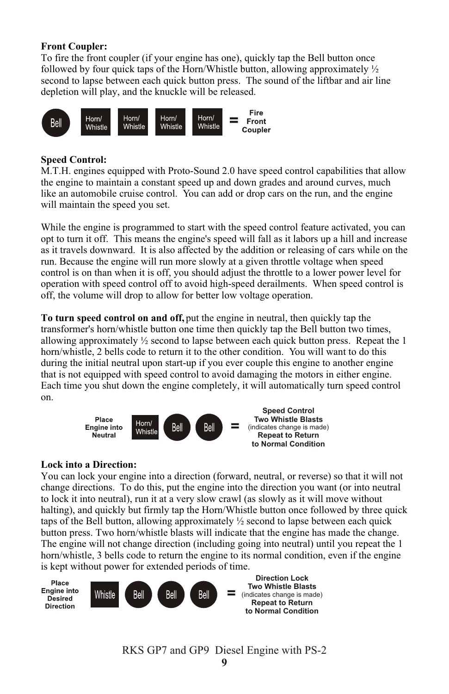#### **Front Coupler:**

To fire the front coupler (if your engine has one), quickly tap the Bell button once followed by four quick taps of the Horn/Whistle button, allowing approximately  $\frac{1}{2}$ second to lapse between each quick button press. The sound of the liftbar and air line depletion will play, and the knuckle will be released.



#### **Speed Control:**

M.T.H. engines equipped with Proto-Sound 2.0 have speed control capabilities that allow the engine to maintain a constant speed up and down grades and around curves, much like an automobile cruise control. You can add or drop cars on the run, and the engine will maintain the speed you set.

While the engine is programmed to start with the speed control feature activated, you can opt to turn it off. This means the engine's speed will fall as it labors up a hill and increase as it travels downward. It is also affected by the addition or releasing of cars while on the run. Because the engine will run more slowly at a given throttle voltage when speed control is on than when it is off, you should adjust the throttle to a lower power level for operation with speed control off to avoid high-speed derailments. When speed control is off, the volume will drop to allow for better low voltage operation.

**To turn speed control on and off,** put the engine in neutral, then quickly tap the transformer's horn/whistle button one time then quickly tap the Bell button two times, allowing approximately  $\frac{1}{2}$  second to lapse between each quick button press. Repeat the 1 horn/whistle, 2 bells code to return it to the other condition. You will want to do this during the initial neutral upon start-up if you ever couple this engine to another engine that is not equipped with speed control to avoid damaging the motors in either engine. Each time you shut down the engine completely, it will automatically turn speed control on.



#### **Lock into a Direction:**

You can lock your engine into a direction (forward, neutral, or reverse) so that it will not change directions. To do this, put the engine into the direction you want (or into neutral to lock it into neutral), run it at a very slow crawl (as slowly as it will move without halting), and quickly but firmly tap the Horn/Whistle button once followed by three quick taps of the Bell button, allowing approximately ½ second to lapse between each quick button press. Two horn/whistle blasts will indicate that the engine has made the change. The engine will not change direction (including going into neutral) until you repeat the 1 horn/whistle, 3 bells code to return the engine to its normal condition, even if the engine is kept without power for extended periods of time.

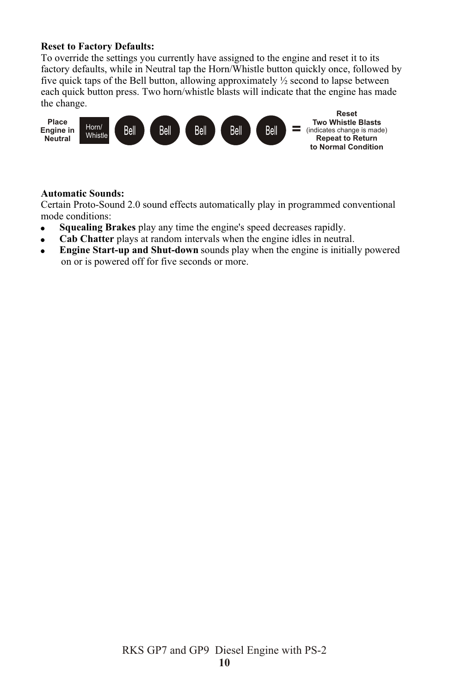#### **Reset to Factory Defaults:**

To override the settings you currently have assigned to the engine and reset it to its factory defaults, while in Neutral tap the Horn/Whistle button quickly once, followed by five quick taps of the Bell button, allowing approximately ½ second to lapse between each quick button press. Two horn/whistle blasts will indicate that the engine has made the change.



#### **Automatic Sounds:**

Certain Proto-Sound 2.0 sound effects automatically play in programmed conventional mode conditions:

- ! **Squealing Brakes** play any time the engine's speed decreases rapidly.
- **Cab Chatter** plays at random intervals when the engine idles in neutral.
- ! **Engine Start-up and Shut-down** sounds play when the engine is initially powered on or is powered off for five seconds or more.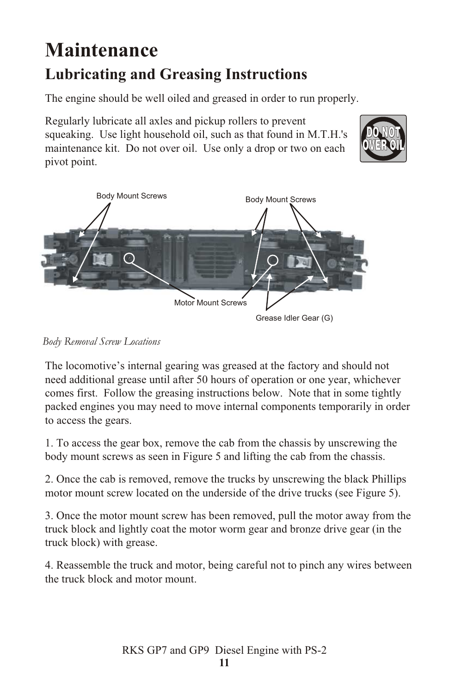## **Maintenance Lubricating and Greasing Instructions**

The engine should be well oiled and greased in order to run properly.

Regularly lubricate all axles and pickup rollers to prevent squeaking. Use light household oil, such as that found in M.T.H.'s maintenance kit. Do not over oil. Use only a drop or two on each pivot point.





*Body Removal Screw Locations*

The locomotive's internal gearing was greased at the factory and should not need additional grease until after 50 hours of operation or one year, whichever comes first. Follow the greasing instructions below. Note that in some tightly packed engines you may need to move internal components temporarily in order to access the gears.

1. To access the gear box, remove the cab from the chassis by unscrewing the body mount screws as seen in Figure 5 and lifting the cab from the chassis.

2. Once the cab is removed, remove the trucks by unscrewing the black Phillips motor mount screw located on the underside of the drive trucks (see Figure 5).

3. Once the motor mount screw has been removed, pull the motor away from the truck block and lightly coat the motor worm gear and bronze drive gear (in the truck block) with grease.

4. Reassemble the truck and motor, being careful not to pinch any wires between the truck block and motor mount.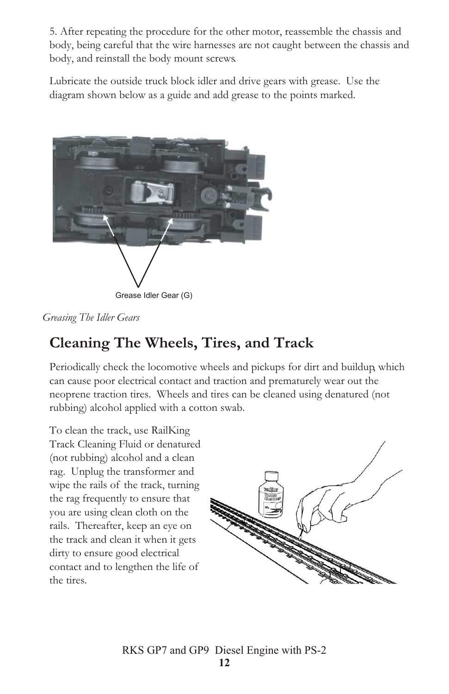5. After repeating the procedure for the other motor, reassemble the chassis and body, being careful that the wire harnesses are not caught between the chassis and body, and reinstall the body mount screws.

Lubricate the outside truck block idler and drive gears with grease. Use the diagram shown below as a guide and add grease to the points marked.



*Greasing The Idler Gears*

## **Cleaning The Wheels, Tires, and Track**

Periodically check the locomotive wheels and pickups for dirt and buildup, which can cause poor electrical contact and traction and prematurely wear out the neoprene traction tires. Wheels and tires can be cleaned using denatured (not rubbing) alcohol applied with a cotton swab.

To clean the track, use RailKing Track Cleaning Fluid or denatured (not rubbing) alcohol and a clean rag. Unplug the transformer and wipe the rails of the track, turning the rag frequently to ensure that you are using clean cloth on the rails. Thereafter, keep an eye on the track and clean it when it gets dirty to ensure good electrical contact and to lengthen the life of the tires.

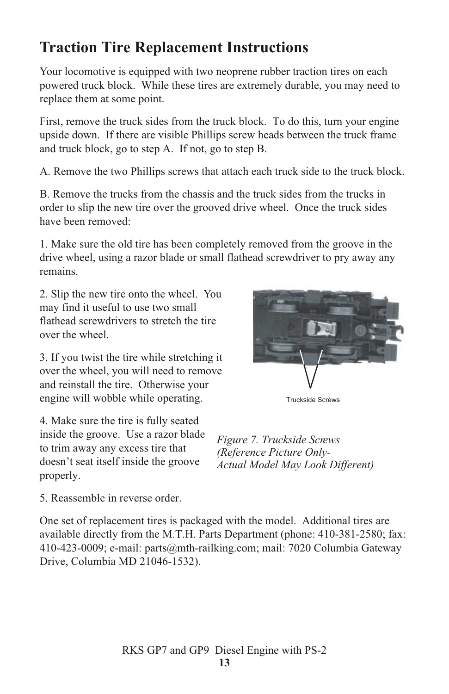## **Traction Tire Replacement Instructions**

Your locomotive is equipped with two neoprene rubber traction tires on each powered truck block. While these tires are extremely durable, you may need to replace them at some point.

First, remove the truck sides from the truck block. To do this, turn your engine upside down. If there are visible Phillips screw heads between the truck frame and truck block, go to step A. If not, go to step B.

A. Remove the two Phillips screws that attach each truck side to the truck block.

B. Remove the trucks from the chassis and the truck sides from the trucks in order to slip the new tire over the grooved drive wheel. Once the truck sides have been removed:

1. Make sure the old tire has been completely removed from the groove in the drive wheel, using a razor blade or small flathead screwdriver to pry away any remains.

2. Slip the new tire onto the wheel. You may find it useful to use two small flathead screwdrivers to stretch the tire over the wheel.

3. If you twist the tire while stretching it over the wheel, you will need to remove and reinstall the tire. Otherwise your engine will wobble while operating.

4. Make sure the tire is fully seated inside the groove. Use a razor blade to trim away any excess tire that doesn't seat itself inside the groove properly.



Truckside Screws

*Figure 7. Truckside Screws (Reference Picture Only-Actual Model May Look Different)*

5. Reassemble in reverse order.

One set of replacement tires is packaged with the model. Additional tires are available directly from the M.T.H. Parts Department (phone: 410-381-2580; fax: 410-423-0009; e-mail: parts@mth-railking.com; mail: 7020 Columbia Gateway Drive, Columbia MD 21046-1532).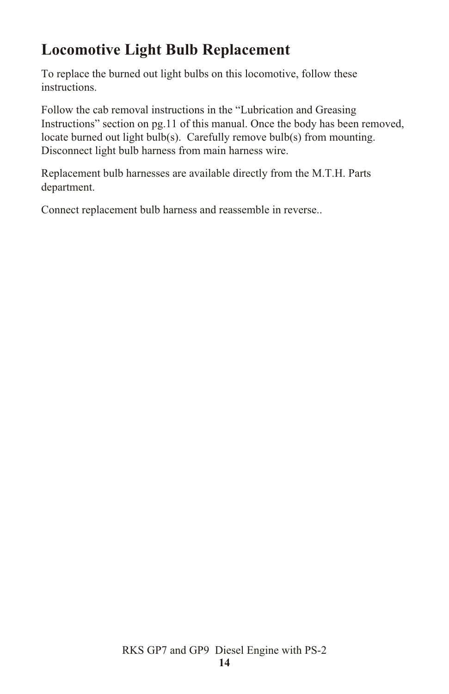## **Locomotive Light Bulb Replacement**

To replace the burned out light bulbs on this locomotive, follow these instructions.

Follow the cab removal instructions in the "Lubrication and Greasing Instructions" section on pg.11 of this manual. Once the body has been removed, locate burned out light bulb(s). Carefully remove bulb(s) from mounting. Disconnect light bulb harness from main harness wire.

Replacement bulb harnesses are available directly from the M.T.H. Parts department.

Connect replacement bulb harness and reassemble in reverse..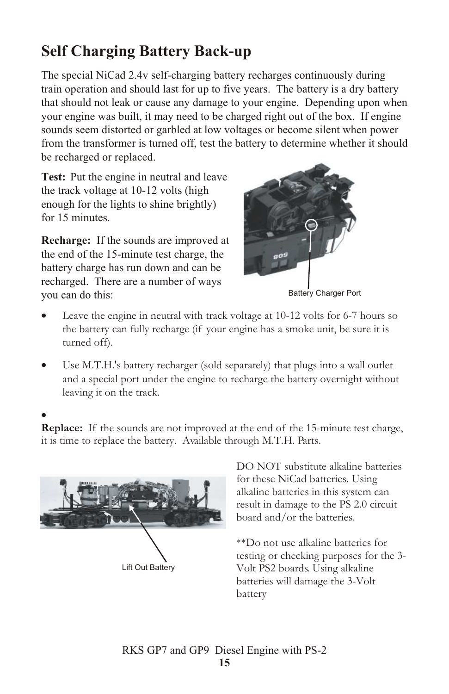## **Self Charging Battery Back-up**

The special NiCad 2.4v self-charging battery recharges continuously during train operation and should last for up to five years. The battery is a dry battery that should not leak or cause any damage to your engine. Depending upon when your engine was built, it may need to be charged right out of the box. If engine sounds seem distorted or garbled at low voltages or become silent when power from the transformer is turned off, test the battery to determine whether it should be recharged or replaced.

**Test:** Put the engine in neutral and leave the track voltage at 10-12 volts (high enough for the lights to shine brightly) for 15 minutes.

**Recharge:** If the sounds are improved at the end of the 15-minute test charge, the battery charge has run down and can be recharged. There are a number of ways you can do this: Battery Charger Port



Leave the engine in neutral with track voltage at 10-12 volts for 6-7 hours so the battery can fully recharge (if your engine has a smoke unit, be sure it is turned off).

Use M.T.H.'s battery recharger (sold separately) that plugs into a wall outlet and a special port under the engine to recharge the battery overnight without leaving it on the track.

**Replace:** If the sounds are not improved at the end of the 15-minute test charge, it is time to replace the battery. Available through M.T.H. Parts.



DO NOT substitute alkaline batteries for these NiCad batteries. Using alkaline batteries in this system can result in damage to the PS 2.0 circuit board and/or the batteries.

\*\*Do not use alkaline batteries for testing or checking purposes for the 3- Volt PS2 boards. Using alkaline batteries will damage the 3-Volt battery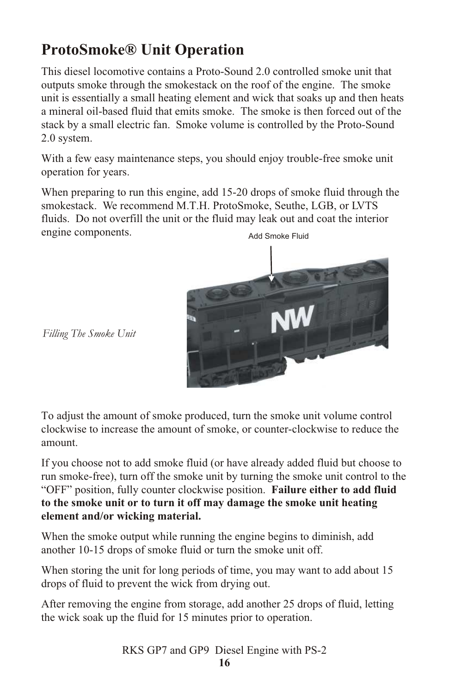## **ProtoSmoke® Unit Operation**

This diesel locomotive contains a Proto-Sound 2.0 controlled smoke unit that outputs smoke through the smokestack on the roof of the engine. The smoke unit is essentially a small heating element and wick that soaks up and then heats a mineral oil-based fluid that emits smoke. The smoke is then forced out of the stack by a small electric fan. Smoke volume is controlled by the Proto-Sound 2.0 system.

With a few easy maintenance steps, you should enjoy trouble-free smoke unit operation for years.

When preparing to run this engine, add 15-20 drops of smoke fluid through the smokestack. We recommend M.T.H. ProtoSmoke, Seuthe, LGB, or LVTS fluids. Do not overfill the unit or the fluid may leak out and coat the interior engine components. Add Smoke Fluid



 *Filling The Smoke Unit*

To adjust the amount of smoke produced, turn the smoke unit volume control clockwise to increase the amount of smoke, or counter-clockwise to reduce the amount.

If you choose not to add smoke fluid (or have already added fluid but choose to run smoke-free), turn off the smoke unit by turning the smoke unit control to the "OFF" position, fully counter clockwise position. **Failure either to add fluid to the smoke unit or to turn it off may damage the smoke unit heating element and/or wicking material.**

When the smoke output while running the engine begins to diminish, add another 10-15 drops of smoke fluid or turn the smoke unit off.

When storing the unit for long periods of time, you may want to add about 15 drops of fluid to prevent the wick from drying out.

After removing the engine from storage, add another 25 drops of fluid, letting the wick soak up the fluid for 15 minutes prior to operation.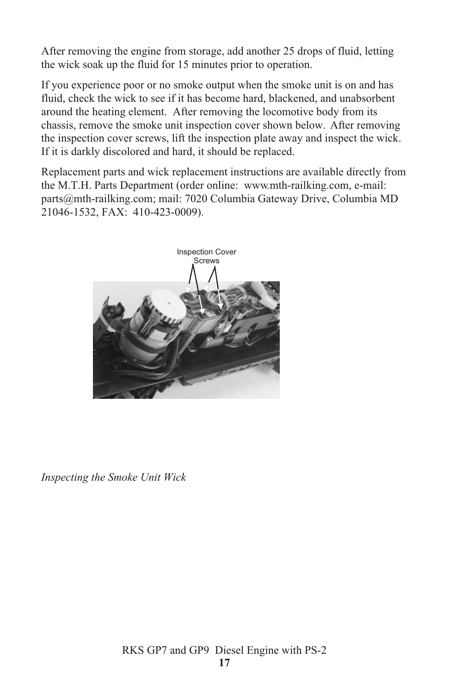After removing the engine from storage, add another 25 drops of fluid, letting the wick soak up the fluid for 15 minutes prior to operation.

If you experience poor or no smoke output when the smoke unit is on and has fluid, check the wick to see if it has become hard, blackened, and unabsorbent around the heating element. After removing the locomotive body from its chassis, remove the smoke unit inspection cover shown below. After removing the inspection cover screws, lift the inspection plate away and inspect the wick. If it is darkly discolored and hard, it should be replaced.

Replacement parts and wick replacement instructions are available directly from the M.T.H. Parts Department (order online: www.mth-railking.com, e-mail: parts@mth-railking.com; mail: 7020 Columbia Gateway Drive, Columbia MD 21046-1532, FAX: 410-423-0009).



*Inspecting the Smoke Unit Wick*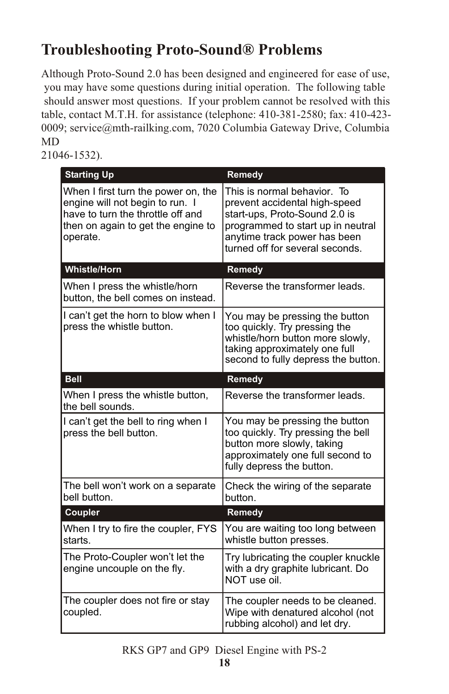## **Troubleshooting Proto-Sound® Problems**

Although Proto-Sound 2.0 has been designed and engineered for ease of use, you may have some questions during initial operation. The following table should answer most questions. If your problem cannot be resolved with this table, contact M.T.H. for assistance (telephone: 410-381-2580; fax: 410-423- 0009; service@mth-railking.com, 7020 Columbia Gateway Drive, Columbia MD

21046-1532).

| <b>Starting Up</b>                                                                                                                                            | Remedy                                                                                                                                                                                                |
|---------------------------------------------------------------------------------------------------------------------------------------------------------------|-------------------------------------------------------------------------------------------------------------------------------------------------------------------------------------------------------|
| When I first turn the power on, the<br>engine will not begin to run. I<br>have to turn the throttle off and<br>then on again to get the engine to<br>operate. | This is normal behavior. To<br>prevent accidental high-speed<br>start-ups, Proto-Sound 2.0 is<br>programmed to start up in neutral<br>anytime track power has been<br>turned off for several seconds. |
| <b>Whistle/Horn</b>                                                                                                                                           | Remedy                                                                                                                                                                                                |
| When I press the whistle/horn<br>button, the bell comes on instead.                                                                                           | Reverse the transformer leads.                                                                                                                                                                        |
| I can't get the horn to blow when I<br>press the whistle button.                                                                                              | You may be pressing the button<br>too quickly. Try pressing the<br>whistle/horn button more slowly,<br>taking approximately one full<br>second to fully depress the button.                           |
| <b>Bell</b>                                                                                                                                                   | Remedy                                                                                                                                                                                                |
| When I press the whistle button,<br>the bell sounds.                                                                                                          | Reverse the transformer leads.                                                                                                                                                                        |
| I can't get the bell to ring when I<br>press the bell button.                                                                                                 | You may be pressing the button<br>too quickly. Try pressing the bell<br>button more slowly, taking<br>approximately one full second to<br>fully depress the button.                                   |
| The bell won't work on a separate<br>bell button.                                                                                                             | Check the wiring of the separate<br>button.                                                                                                                                                           |
| Coupler                                                                                                                                                       | Remedy                                                                                                                                                                                                |
| When I try to fire the coupler, FYS<br>starts.                                                                                                                | You are waiting too long between<br>whistle button presses.                                                                                                                                           |
| The Proto-Coupler won't let the<br>engine uncouple on the fly.                                                                                                | Try lubricating the coupler knuckle<br>with a dry graphite lubricant. Do<br>NOT use oil.                                                                                                              |
| The coupler does not fire or stay<br>coupled.                                                                                                                 | The coupler needs to be cleaned.<br>Wipe with denatured alcohol (not<br>rubbing alcohol) and let dry.                                                                                                 |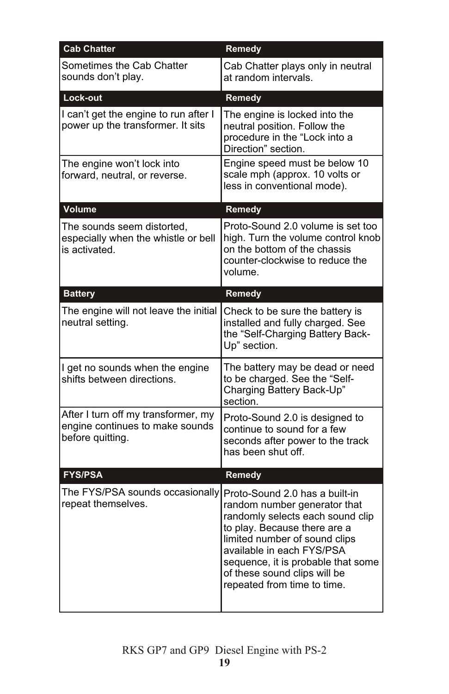| <b>Cab Chatter</b>                                                                         | Remedy                                                                                                                                                                                                                                                                                                |
|--------------------------------------------------------------------------------------------|-------------------------------------------------------------------------------------------------------------------------------------------------------------------------------------------------------------------------------------------------------------------------------------------------------|
| Sometimes the Cab Chatter<br>sounds don't play.                                            | Cab Chatter plays only in neutral<br>at random intervals.                                                                                                                                                                                                                                             |
| Lock-out                                                                                   | Remedy                                                                                                                                                                                                                                                                                                |
| I can't get the engine to run after I<br>power up the transformer. It sits                 | The engine is locked into the<br>neutral position. Follow the<br>procedure in the "Lock into a<br>Direction" section.                                                                                                                                                                                 |
| The engine won't lock into<br>forward, neutral, or reverse.                                | Engine speed must be below 10<br>scale mph (approx. 10 volts or<br>less in conventional mode).                                                                                                                                                                                                        |
| Volume                                                                                     | Remedy                                                                                                                                                                                                                                                                                                |
| The sounds seem distorted,<br>especially when the whistle or bell<br>is activated.         | Proto-Sound 2.0 volume is set too<br>high. Turn the volume control knob<br>on the bottom of the chassis<br>counter-clockwise to reduce the<br>volume.                                                                                                                                                 |
| <b>Battery</b>                                                                             | Remedy                                                                                                                                                                                                                                                                                                |
| The engine will not leave the initial<br>neutral setting.                                  | Check to be sure the battery is<br>installed and fully charged. See<br>the "Self-Charging Battery Back-<br>Up" section.                                                                                                                                                                               |
| I get no sounds when the engine<br>shifts between directions.                              | The battery may be dead or need<br>to be charged. See the "Self-<br>Charging Battery Back-Up"<br>section.                                                                                                                                                                                             |
| After I turn off my transformer, my<br>engine continues to make sounds<br>before quitting. | Proto-Sound 2.0 is designed to<br>continue to sound for a few<br>seconds after power to the track<br>has been shut off.                                                                                                                                                                               |
| <b>FYS/PSA</b>                                                                             | Remedy                                                                                                                                                                                                                                                                                                |
| The FYS/PSA sounds occasionally<br>repeat themselves.                                      | Proto-Sound 2.0 has a built-in<br>random number generator that<br>randomly selects each sound clip<br>to play. Because there are a<br>limited number of sound clips<br>available in each FYS/PSA<br>sequence, it is probable that some<br>of these sound clips will be<br>repeated from time to time. |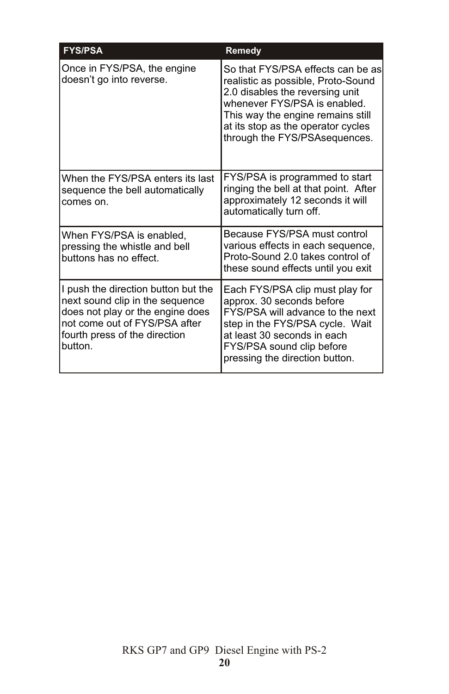| <b>FYS/PSA</b>                                                                                                                                                                          | Remedy                                                                                                                                                                                                                                                  |
|-----------------------------------------------------------------------------------------------------------------------------------------------------------------------------------------|---------------------------------------------------------------------------------------------------------------------------------------------------------------------------------------------------------------------------------------------------------|
| Once in FYS/PSA, the engine<br>doesn't go into reverse.                                                                                                                                 | So that FYS/PSA effects can be as<br>realistic as possible, Proto-Sound<br>2.0 disables the reversing unit<br>whenever FYS/PSA is enabled.<br>This way the engine remains still<br>at its stop as the operator cycles<br>through the FYS/PSA sequences. |
| When the FYS/PSA enters its last<br>sequence the bell automatically<br>comes on.                                                                                                        | FYS/PSA is programmed to start<br>ringing the bell at that point. After<br>approximately 12 seconds it will<br>automatically turn off.                                                                                                                  |
| When FYS/PSA is enabled,<br>pressing the whistle and bell<br>buttons has no effect.                                                                                                     | Because FYS/PSA must control<br>various effects in each sequence,<br>Proto-Sound 2.0 takes control of<br>these sound effects until you exit                                                                                                             |
| I push the direction button but the<br>next sound clip in the sequence<br>does not play or the engine does<br>not come out of FYS/PSA after<br>fourth press of the direction<br>button. | Each FYS/PSA clip must play for<br>approx. 30 seconds before<br>FYS/PSA will advance to the next<br>step in the FYS/PSA cycle. Wait<br>at least 30 seconds in each<br>FYS/PSA sound clip before<br>pressing the direction button.                       |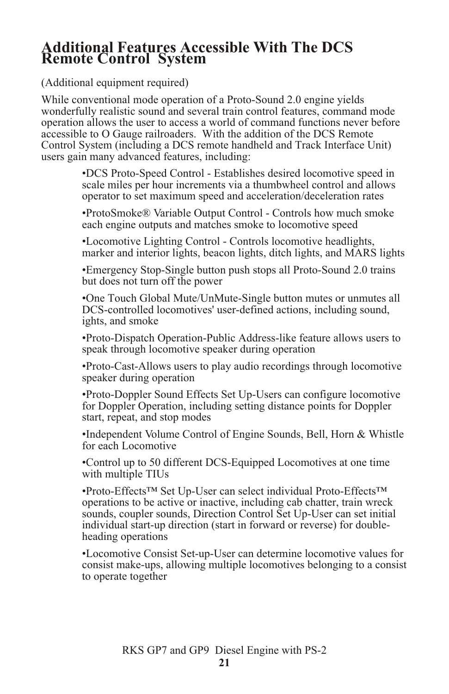#### **Additional Features Accessible With The DCS Remote Control System**

(Additional equipment required)

While conventional mode operation of a Proto-Sound 2.0 engine yields wonderfully realistic sound and several train control features, command mode operation allows the user to access a world of command functions never before accessible to O Gauge railroaders. With the addition of the DCS Remote Control System (including a DCS remote handheld and Track Interface Unit) users gain many advanced features, including:

> •DCS Proto-Speed Control - Establishes desired locomotive speed in scale miles per hour increments via a thumbwheel control and allows operator to set maximum speed and acceleration/deceleration rates

> •ProtoSmoke® Variable Output Control - Controls how much smoke each engine outputs and matches smoke to locomotive speed

•Locomotive Lighting Control - Controls locomotive headlights, marker and interior lights, beacon lights, ditch lights, and MARS lights

•Emergency Stop-Single button push stops all Proto-Sound 2.0 trains but does not turn off the power

•One Touch Global Mute/UnMute-Single button mutes or unmutes all DCS-controlled locomotives' user-defined actions, including sound, ights, and smoke

•Proto-Dispatch Operation-Public Address-like feature allows users to speak through locomotive speaker during operation

•Proto-Cast-Allows users to play audio recordings through locomotive speaker during operation

•Proto-Doppler Sound Effects Set Up-Users can configure locomotive for Doppler Operation, including setting distance points for Doppler start, repeat, and stop modes

•Independent Volume Control of Engine Sounds, Bell, Horn & Whistle for each Locomotive

•Control up to 50 different DCS-Equipped Locomotives at one time with multiple TIUs

•Proto-Effects™ Set Up-User can select individual Proto-Effects™ operations to be active or inactive, including cab chatter, train wreck sounds, coupler sounds, Direction Control Set Up-User can set initial individual start-up direction (start in forward or reverse) for doubleheading operations

•Locomotive Consist Set-up-User can determine locomotive values for consist make-ups, allowing multiple locomotives belonging to a consist to operate together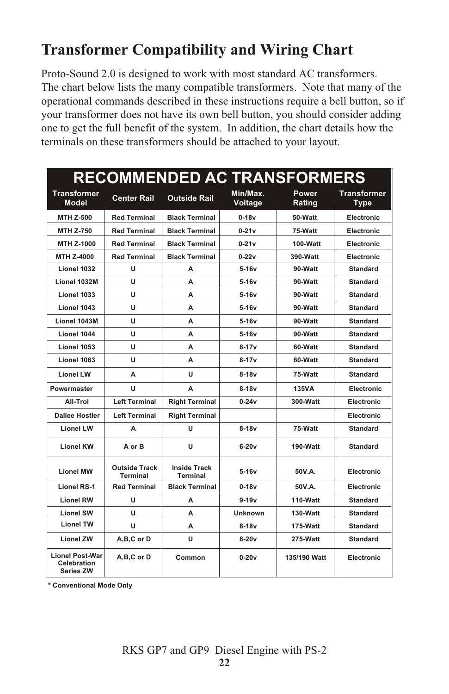## **Transformer Compatibility and Wiring Chart**

Proto-Sound 2.0 is designed to work with most standard AC transformers. The chart below lists the many compatible transformers. Note that many of the operational commands described in these instructions require a bell button, so if your transformer does not have its own bell button, you should consider adding one to get the full benefit of the system. In addition, the chart details how the terminals on these transformers should be attached to your layout.

| <b>RECOMMENDED AC TRANSFORMERS</b>                        |                                         |                                 |                     |                        |                                   |
|-----------------------------------------------------------|-----------------------------------------|---------------------------------|---------------------|------------------------|-----------------------------------|
| <b>Transformer</b><br><b>Model</b>                        | <b>Center Rail</b>                      | Outside Rail                    | Min/Max.<br>Voltage | <b>Power</b><br>Rating | <b>Transformer</b><br><b>Type</b> |
| <b>MTH Z-500</b>                                          | <b>Red Terminal</b>                     | <b>Black Terminal</b>           | $0-18v$             | 50-Watt                | Electronic                        |
| <b>MTH Z-750</b>                                          | <b>Red Terminal</b>                     | <b>Black Terminal</b>           | $0 - 21v$           | 75-Watt                | Electronic                        |
| MTH Z-1000                                                | <b>Red Terminal</b>                     | <b>Black Terminal</b>           | $0-21v$             | 100-Watt               | Electronic                        |
| MTH Z-4000                                                | <b>Red Terminal</b>                     | <b>Black Terminal</b>           | $0 - 22v$           | 390-Watt               | Electronic                        |
| Lionel 1032                                               | U                                       | A                               | $5-16v$             | 90-Watt                | <b>Standard</b>                   |
| <b>Lionel 1032M</b>                                       | u                                       | A                               | $5-16v$             | 90-Watt                | Standard                          |
| Lionel 1033                                               | U                                       | А                               | $5-16v$             | 90-Watt                | <b>Standard</b>                   |
| Lionel 1043                                               | u                                       | A                               | $5-16v$             | 90-Watt                | <b>Standard</b>                   |
| Lionel 1043M                                              | U                                       | A                               | $5-16v$             | 90-Watt                | <b>Standard</b>                   |
| Lionel 1044                                               | u                                       | А                               | $5-16v$             | 90-Watt                | <b>Standard</b>                   |
| Lionel 1053                                               | u                                       | A                               | $8 - 17v$           | 60-Watt                | <b>Standard</b>                   |
| Lionel 1063                                               | U                                       | А                               | $8 - 17v$           | 60-Watt                | <b>Standard</b>                   |
| <b>Lionel LW</b>                                          | А                                       | u                               | $8-18v$             | 75-Watt                | <b>Standard</b>                   |
| Powermaster                                               | U                                       | A                               | $8-18v$             | <b>135VA</b>           | Electronic                        |
| All-Trol                                                  | <b>Left Terminal</b>                    | <b>Right Terminal</b>           | $0 - 24v$           | 300-Watt               | Electronic                        |
| <b>Dallee Hostler</b>                                     | <b>Left Terminal</b>                    | <b>Right Terminal</b>           |                     |                        | Electronic                        |
| <b>Lionel LW</b>                                          | A                                       | U                               | $8-18v$             | 75-Watt                | <b>Standard</b>                   |
| <b>Lionel KW</b>                                          | A or B                                  | U                               | $6-20v$             | 190-Watt               | <b>Standard</b>                   |
| <b>Lionel MW</b>                                          | <b>Outside Track</b><br><b>Terminal</b> | <b>Inside Track</b><br>Terminal | $5-16v$             | 50V.A.                 | Electronic                        |
| <b>Lionel RS-1</b>                                        | <b>Red Terminal</b>                     | <b>Black Terminal</b>           | $0-18v$             | 50V.A.                 | Electronic                        |
| <b>Lionel RW</b>                                          | U                                       | A                               | $9 - 19v$           | 110-Watt               | <b>Standard</b>                   |
| <b>Lionel SW</b>                                          | u                                       | А                               | <b>Unknown</b>      | 130-Watt               | <b>Standard</b>                   |
| <b>Lionel TW</b>                                          | U                                       | А                               | $8-18v$             | 175-Watt               | <b>Standard</b>                   |
| <b>Lionel ZW</b>                                          | A,B,C or D                              | U                               | $8-20v$             | 275-Watt               | <b>Standard</b>                   |
| <b>Lionel Post-War</b><br>Celebration<br><b>Series ZW</b> | A,B,C or D                              | Common                          | $0-20v$             | 135/190 Watt           | Electronic                        |

**\* Conventional Mode Only**